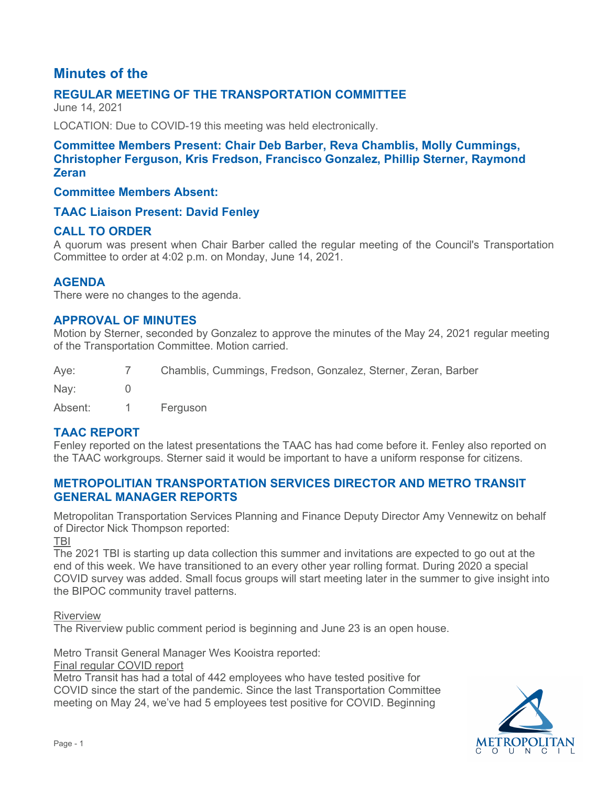# **Minutes of the**

# **REGULAR MEETING OF THE TRANSPORTATION COMMITTEE**

June 14, 2021

LOCATION: Due to COVID-19 this meeting was held electronically.

### **Committee Members Present: Chair Deb Barber, Reva Chamblis, Molly Cummings, Christopher Ferguson, Kris Fredson, Francisco Gonzalez, Phillip Sterner, Raymond Zeran**

### **Committee Members Absent:**

### **TAAC Liaison Present: David Fenley**

### **CALL TO ORDER**

A quorum was present when Chair Barber called the regular meeting of the Council's Transportation Committee to order at 4:02 p.m. on Monday, June 14, 2021.

### **AGENDA**

There were no changes to the agenda.

### **APPROVAL OF MINUTES**

Motion by Sterner, seconded by Gonzalez to approve the minutes of the May 24, 2021 regular meeting of the Transportation Committee. Motion carried.

Aye: 7 Chamblis, Cummings, Fredson, Gonzalez, Sterner, Zeran, Barber Nay: 0

Absent: 1 Ferguson

### **TAAC REPORT**

Fenley reported on the latest presentations the TAAC has had come before it. Fenley also reported on the TAAC workgroups. Sterner said it would be important to have a uniform response for citizens.

#### **METROPOLITIAN TRANSPORTATION SERVICES DIRECTOR AND METRO TRANSIT GENERAL MANAGER REPORTS**

Metropolitan Transportation Services Planning and Finance Deputy Director Amy Vennewitz on behalf of Director Nick Thompson reported:

TBI

The 2021 TBI is starting up data collection this summer and invitations are expected to go out at the end of this week. We have transitioned to an every other year rolling format. During 2020 a special COVID survey was added. Small focus groups will start meeting later in the summer to give insight into the BIPOC community travel patterns.

Riverview

The Riverview public comment period is beginning and June 23 is an open house.

Metro Transit General Manager Wes Kooistra reported:

Final regular COVID report

Metro Transit has had a total of 442 employees who have tested positive for COVID since the start of the pandemic. Since the last Transportation Committee meeting on May 24, we've had 5 employees test positive for COVID. Beginning

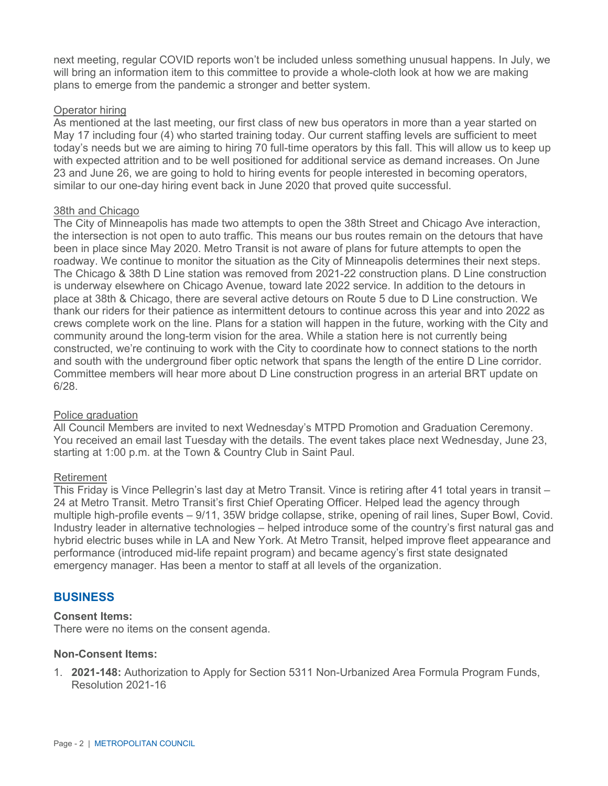next meeting, regular COVID reports won't be included unless something unusual happens. In July, we will bring an information item to this committee to provide a whole-cloth look at how we are making plans to emerge from the pandemic a stronger and better system.

#### Operator hiring

As mentioned at the last meeting, our first class of new bus operators in more than a year started on May 17 including four (4) who started training today. Our current staffing levels are sufficient to meet today's needs but we are aiming to hiring 70 full-time operators by this fall. This will allow us to keep up with expected attrition and to be well positioned for additional service as demand increases. On June 23 and June 26, we are going to hold to hiring events for people interested in becoming operators, similar to our one-day hiring event back in June 2020 that proved quite successful.

#### 38th and Chicago

The City of Minneapolis has made two attempts to open the 38th Street and Chicago Ave interaction, the intersection is not open to auto traffic. This means our bus routes remain on the detours that have been in place since May 2020. Metro Transit is not aware of plans for future attempts to open the roadway. We continue to monitor the situation as the City of Minneapolis determines their next steps. The Chicago & 38th D Line station was removed from 2021-22 construction plans. D Line construction is underway elsewhere on Chicago Avenue, toward late 2022 service. In addition to the detours in place at 38th & Chicago, there are several active detours on Route 5 due to D Line construction. We thank our riders for their patience as intermittent detours to continue across this year and into 2022 as crews complete work on the line. Plans for a station will happen in the future, working with the City and community around the long-term vision for the area. While a station here is not currently being constructed, we're continuing to work with the City to coordinate how to connect stations to the north and south with the underground fiber optic network that spans the length of the entire D Line corridor. Committee members will hear more about D Line construction progress in an arterial BRT update on 6/28.

#### Police graduation

All Council Members are invited to next Wednesday's MTPD Promotion and Graduation Ceremony. You received an email last Tuesday with the details. The event takes place next Wednesday, June 23, starting at 1:00 p.m. at the Town & Country Club in Saint Paul.

#### Retirement

This Friday is Vince Pellegrin's last day at Metro Transit. Vince is retiring after 41 total years in transit – 24 at Metro Transit. Metro Transit's first Chief Operating Officer. Helped lead the agency through multiple high-profile events – 9/11, 35W bridge collapse, strike, opening of rail lines, Super Bowl, Covid. Industry leader in alternative technologies – helped introduce some of the country's first natural gas and hybrid electric buses while in LA and New York. At Metro Transit, helped improve fleet appearance and performance (introduced mid-life repaint program) and became agency's first state designated emergency manager. Has been a mentor to staff at all levels of the organization.

### **BUSINESS**

#### **Consent Items:**

There were no items on the consent agenda.

#### **Non-Consent Items:**

1. **2021-148:** Authorization to Apply for Section 5311 Non-Urbanized Area Formula Program Funds, Resolution 2021-16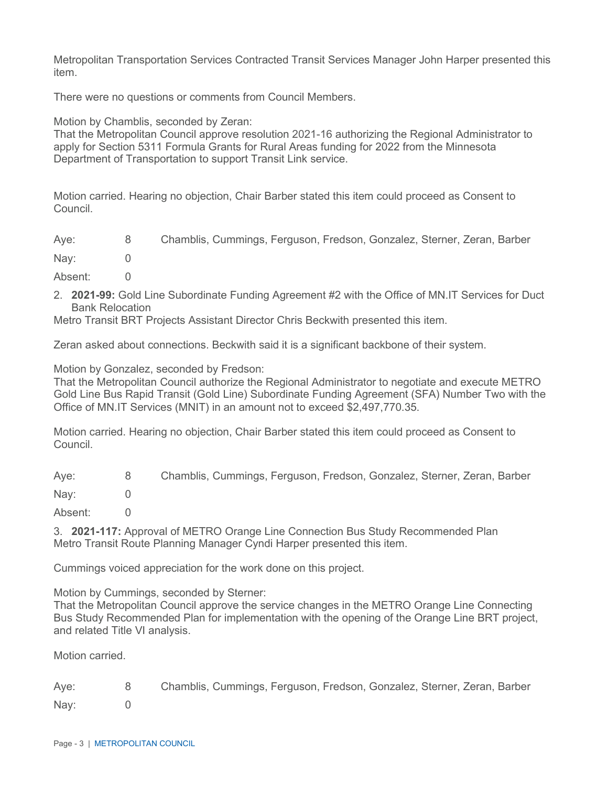Metropolitan Transportation Services Contracted Transit Services Manager John Harper presented this item.

There were no questions or comments from Council Members.

Motion by Chamblis, seconded by Zeran:

That the Metropolitan Council approve resolution 2021-16 authorizing the Regional Administrator to apply for Section 5311 Formula Grants for Rural Areas funding for 2022 from the Minnesota Department of Transportation to support Transit Link service.

Motion carried. Hearing no objection, Chair Barber stated this item could proceed as Consent to Council.

| Aye: | Chamblis, Cummings, Ferguson, Fredson, Gonzalez, Sterner, Zeran, Barber |  |  |  |
|------|-------------------------------------------------------------------------|--|--|--|
|      |                                                                         |  |  |  |

- Nay: 0
- Absent: 0
- 2. **2021-99:** Gold Line Subordinate Funding Agreement #2 with the Office of MN.IT Services for Duct Bank Relocation

Metro Transit BRT Projects Assistant Director Chris Beckwith presented this item.

Zeran asked about connections. Beckwith said it is a significant backbone of their system.

Motion by Gonzalez, seconded by Fredson:

That the Metropolitan Council authorize the Regional Administrator to negotiate and execute METRO Gold Line Bus Rapid Transit (Gold Line) Subordinate Funding Agreement (SFA) Number Two with the Office of MN.IT Services (MNIT) in an amount not to exceed \$2,497,770.35.

Motion carried. Hearing no objection, Chair Barber stated this item could proceed as Consent to Council.

Aye: 8 Chamblis, Cummings, Ferguson, Fredson, Gonzalez, Sterner, Zeran, Barber Nay: 0 Absent: 0

3. **2021-117:** Approval of METRO Orange Line Connection Bus Study Recommended Plan Metro Transit Route Planning Manager Cyndi Harper presented this item.

Cummings voiced appreciation for the work done on this project.

Motion by Cummings, seconded by Sterner:

That the Metropolitan Council approve the service changes in the METRO Orange Line Connecting Bus Study Recommended Plan for implementation with the opening of the Orange Line BRT project, and related Title VI analysis.

Motion carried.

Aye: 8 Chamblis, Cummings, Ferguson, Fredson, Gonzalez, Sterner, Zeran, Barber Nay: 0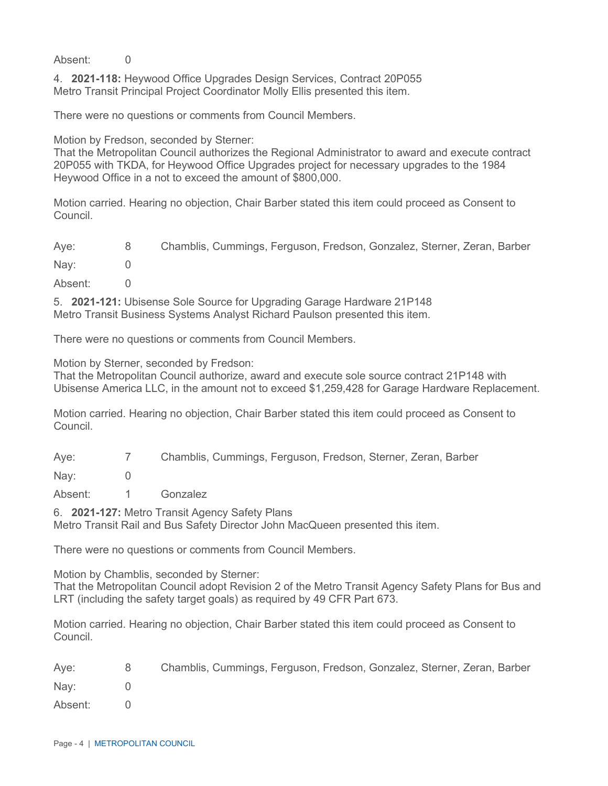Absent: 0

4. **2021-118:** Heywood Office Upgrades Design Services, Contract 20P055 Metro Transit Principal Project Coordinator Molly Ellis presented this item.

There were no questions or comments from Council Members.

Motion by Fredson, seconded by Sterner:

That the Metropolitan Council authorizes the Regional Administrator to award and execute contract 20P055 with TKDA, for Heywood Office Upgrades project for necessary upgrades to the 1984 Heywood Office in a not to exceed the amount of \$800,000.

Motion carried. Hearing no objection, Chair Barber stated this item could proceed as Consent to Council.

Aye: 8 Chamblis, Cummings, Ferguson, Fredson, Gonzalez, Sterner, Zeran, Barber Nav: 0

Absent: 0

5. **2021-121:** Ubisense Sole Source for Upgrading Garage Hardware 21P148 Metro Transit Business Systems Analyst Richard Paulson presented this item.

There were no questions or comments from Council Members.

Motion by Sterner, seconded by Fredson:

That the Metropolitan Council authorize, award and execute sole source contract 21P148 with Ubisense America LLC, in the amount not to exceed \$1,259,428 for Garage Hardware Replacement.

Motion carried. Hearing no objection, Chair Barber stated this item could proceed as Consent to Council.

Aye: 7 Chamblis, Cummings, Ferguson, Fredson, Sterner, Zeran, Barber

Nay: 0

Absent: 1 Gonzalez

6. **2021-127:** Metro Transit Agency Safety Plans

Metro Transit Rail and Bus Safety Director John MacQueen presented this item.

There were no questions or comments from Council Members.

Motion by Chamblis, seconded by Sterner:

That the Metropolitan Council adopt Revision 2 of the Metro Transit Agency Safety Plans for Bus and LRT (including the safety target goals) as required by 49 CFR Part 673.

Motion carried. Hearing no objection, Chair Barber stated this item could proceed as Consent to Council.

Aye: 8 Chamblis, Cummings, Ferguson, Fredson, Gonzalez, Sterner, Zeran, Barber Nay: 0 Absent: 0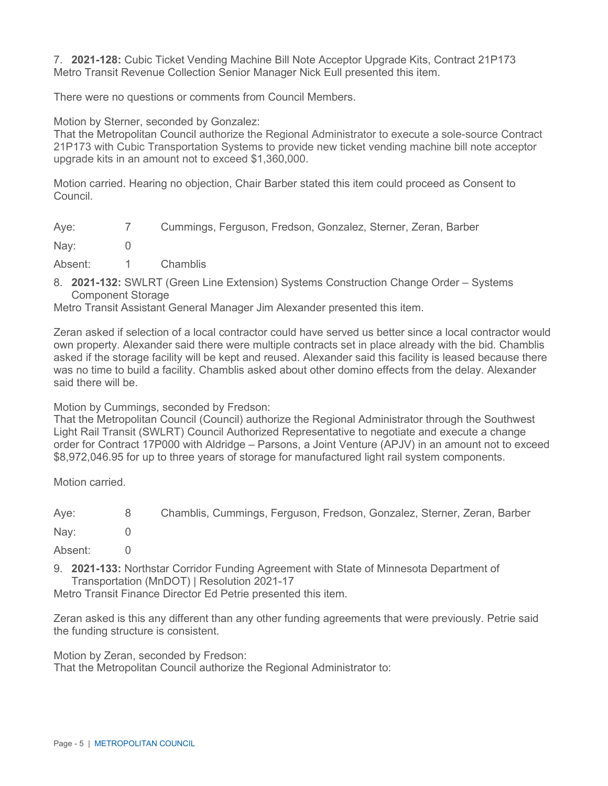7. **2021-128:** Cubic Ticket Vending Machine Bill Note Acceptor Upgrade Kits, Contract 21P173 Metro Transit Revenue Collection Senior Manager Nick Eull presented this item.

There were no questions or comments from Council Members.

Motion by Sterner, seconded by Gonzalez:

That the Metropolitan Council authorize the Regional Administrator to execute a sole-source Contract 21P173 with Cubic Transportation Systems to provide new ticket vending machine bill note acceptor upgrade kits in an amount not to exceed \$1,360,000.

Motion carried. Hearing no objection, Chair Barber stated this item could proceed as Consent to Council.

| Aye: | Cummings, Ferguson, Fredson, Gonzalez, Sterner, Zeran, Barber |  |  |  |
|------|---------------------------------------------------------------|--|--|--|
|      |                                                               |  |  |  |

- Nay: 0
- Absent: 1 Chamblis
- 8. **2021-132:** SWLRT (Green Line Extension) Systems Construction Change Order Systems Component Storage

Metro Transit Assistant General Manager Jim Alexander presented this item.

Zeran asked if selection of a local contractor could have served us better since a local contractor would own property. Alexander said there were multiple contracts set in place already with the bid. Chamblis asked if the storage facility will be kept and reused. Alexander said this facility is leased because there was no time to build a facility. Chamblis asked about other domino effects from the delay. Alexander said there will be.

Motion by Cummings, seconded by Fredson:

That the Metropolitan Council (Council) authorize the Regional Administrator through the Southwest Light Rail Transit (SWLRT) Council Authorized Representative to negotiate and execute a change order for Contract 17P000 with Aldridge – Parsons, a Joint Venture (APJV) in an amount not to exceed \$8,972,046.95 for up to three years of storage for manufactured light rail system components.

Motion carried.

Aye: 8 Chamblis, Cummings, Ferguson, Fredson, Gonzalez, Sterner, Zeran, Barber

Nay: 0

Absent: 0

9. **2021-133:** Northstar Corridor Funding Agreement with State of Minnesota Department of Transportation (MnDOT) | Resolution 2021-17

Metro Transit Finance Director Ed Petrie presented this item.

Zeran asked is this any different than any other funding agreements that were previously. Petrie said the funding structure is consistent.

Motion by Zeran, seconded by Fredson:

That the Metropolitan Council authorize the Regional Administrator to: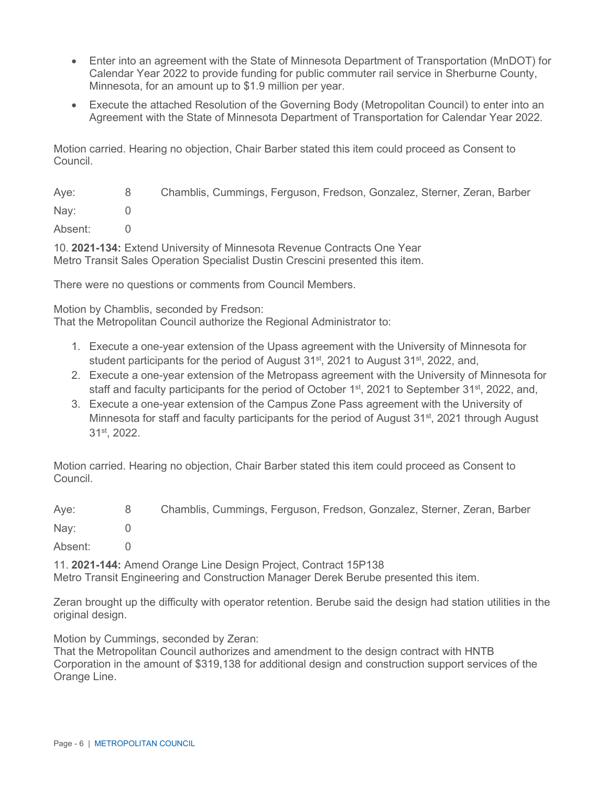- Enter into an agreement with the State of Minnesota Department of Transportation (MnDOT) for Calendar Year 2022 to provide funding for public commuter rail service in Sherburne County, Minnesota, for an amount up to \$1.9 million per year.
- Execute the attached Resolution of the Governing Body (Metropolitan Council) to enter into an Agreement with the State of Minnesota Department of Transportation for Calendar Year 2022.

Motion carried. Hearing no objection, Chair Barber stated this item could proceed as Consent to Council.

Aye: 8 Chamblis, Cummings, Ferguson, Fredson, Gonzalez, Sterner, Zeran, Barber Nay: 0 Absent: 0

10. **2021-134:** Extend University of Minnesota Revenue Contracts One Year Metro Transit Sales Operation Specialist Dustin Crescini presented this item.

There were no questions or comments from Council Members.

Motion by Chamblis, seconded by Fredson:

That the Metropolitan Council authorize the Regional Administrator to:

- 1. Execute a one-year extension of the Upass agreement with the University of Minnesota for student participants for the period of August  $31<sup>st</sup>$ , 2021 to August  $31<sup>st</sup>$ , 2022, and,
- 2. Execute a one-year extension of the Metropass agreement with the University of Minnesota for staff and faculty participants for the period of October 1<sup>st</sup>, 2021 to September 31<sup>st</sup>, 2022, and,
- 3. Execute a one-year extension of the Campus Zone Pass agreement with the University of Minnesota for staff and faculty participants for the period of August  $31<sup>st</sup>$ , 2021 through August 31<sup>st</sup>, 2022.

Motion carried. Hearing no objection, Chair Barber stated this item could proceed as Consent to Council.

| Aye:    | 8 <sup>1</sup> | Chamblis, Cummings, Ferguson, Fredson, Gonzalez, Sterner, Zeran, Barber |
|---------|----------------|-------------------------------------------------------------------------|
| Nay:    |                |                                                                         |
| $A + I$ |                |                                                                         |

Absent: 0

11. **2021-144:** Amend Orange Line Design Project, Contract 15P138 Metro Transit Engineering and Construction Manager Derek Berube presented this item.

Zeran brought up the difficulty with operator retention. Berube said the design had station utilities in the original design.

Motion by Cummings, seconded by Zeran:

That the Metropolitan Council authorizes and amendment to the design contract with HNTB Corporation in the amount of \$319,138 for additional design and construction support services of the Orange Line.